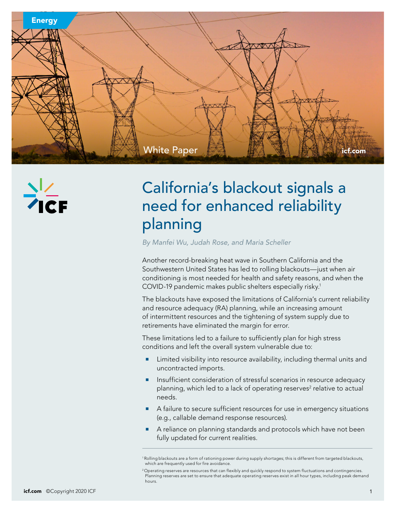

# California's blackout signals a need for enhanced reliability planning

*By Manfei Wu, Judah Rose, and Maria Scheller*

Another record-breaking heat wave in Southern California and the Southwestern United States has led to rolling blackouts—just when air conditioning is most needed for health and safety reasons, and when the COVID-19 pandemic makes public shelters especially risky.1

The blackouts have exposed the limitations of California's current reliability and resource adequacy (RA) planning, while an increasing amount of intermittent resources and the tightening of system supply due to retirements have eliminated the margin for error.

These limitations led to a failure to sufficiently plan for high stress conditions and left the overall system vulnerable due to:

- Limited visibility into resource availability, including thermal units and uncontracted imports.
- Insufficient consideration of stressful scenarios in resource adequacy planning, which led to a lack of operating reserves<sup>2</sup> relative to actual needs.
- A failure to secure sufficient resources for use in emergency situations (e.g., callable demand response resources).
- A reliance on planning standards and protocols which have not been fully updated for current realities.

<sup>1</sup> Rolling blackouts are a form of rationing power during supply shortages; this is different from targeted blackouts, which are frequently used for fire avoidance.

<sup>2</sup> Operating reserves are resources that can flexibly and quickly respond to system fluctuations and contingencies. Planning reserves are set to ensure that adequate operating reserves exist in all hour types, including peak demand hours.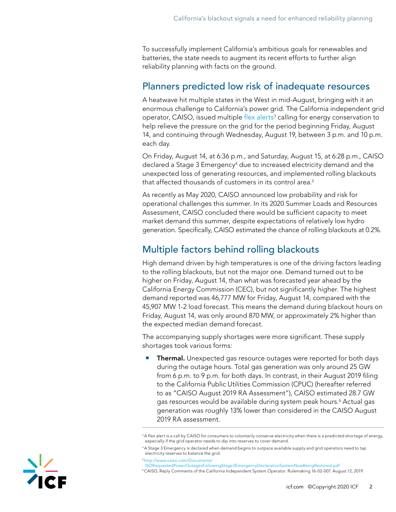To successfully implement California's ambitious goals for renewables and batteries, the state needs to augment its recent efforts to further align reliability planning with facts on the ground.

#### Planners predicted low risk of inadequate resources

A heatwave hit multiple states in the West in mid-August, bringing with it an enormous challenge to California's power grid. The California independent grid operator, CAISO, issued multiple [flex alerts](http://www.caiso.com/Documents/Flex-Alert-Issued-Next-Four-Days-Calling-Statewide-Conservation.pdf)<sup>3</sup> calling for energy conservation to help relieve the pressure on the grid for the period beginning Friday, August 14, and continuing through Wednesday, August 19, between 3 p.m. and 10 p.m. each day.

On Friday, August 14, at 6:36 p.m., and Saturday, August 15, at 6:28 p.m., CAISO declared a Stage 3 Emergency $4$  due to increased electricity demand and the unexpected loss of generating resources, and implemented rolling blackouts that affected thousands of customers in its control area.<sup>5</sup>

As recently as May 2020, CAISO announced low probability and risk for operational challenges this summer. In its 2020 Summer Loads and Resources Assessment, CAISO concluded there would be sufficient capacity to meet market demand this summer, despite expectations of relatively low hydro generation. Specifically, CAISO estimated the chance of rolling blackouts at 0.2%.

### Multiple factors behind rolling blackouts

High demand driven by high temperatures is one of the driving factors leading to the rolling blackouts, but not the major one. Demand turned out to be higher on Friday, August 14, than what was forecasted year ahead by the California Energy Commission (CEC), but not significantly higher. The highest demand reported was 46,777 MW for Friday, August 14, compared with the 45,907 MW 1-2 load forecast. This means the demand during blackout hours on Friday, August 14, was only around 870 MW, or approximately 2% higher than the expected median demand forecast.

The accompanying supply shortages were more significant. These supply shortages took various forms:

**• Thermal.** Unexpected gas resource outages were reported for both days during the outage hours. Total gas generation was only around 25 GW from 6 p.m. to 9 p.m. for both days. In contrast, in their August 2019 filing to the California Public Utilities Commission (CPUC) (hereafter referred to as "CAISO August 2019 RA Assessment"), CAISO estimated 28.7 GW gas resources would be available during system peak hours.6 Actual gas generation was roughly 13% lower than considered in the CAISO August 2019 RA assessment.

 $^3$ A flex alert is a call by CAISO for consumers to voluntarily conserve electricity when there is a predicted shortage of energy, especially if the grid operator needs to dip into reserves to cover demand.

<sup>4</sup> A Stage 3 Emergency is declared when demand begins to outpace available supply and grid operators need to tap electricity reserves to balance the grid.

<sup>5</sup> [http://www.caiso.com/Documents/](http://www.caiso.com/Documents/ISORequestedPowerOutagesFollowingStage3EmergencyDeclarationSystemNowBeingRestored.pdf)

[ISORequestedPowerOutagesFollowingStage3EmergencyDeclarationSystemNowBeingRestored.pdf](http://www.caiso.com/Documents/ISORequestedPowerOutagesFollowingStage3EmergencyDeclarationSystemNowBeingRestored.pdf)

<sup>6</sup> CAISO, Reply Comments of the California Independent System Operator. Rulemaking 16-02-007. August 12, 2019.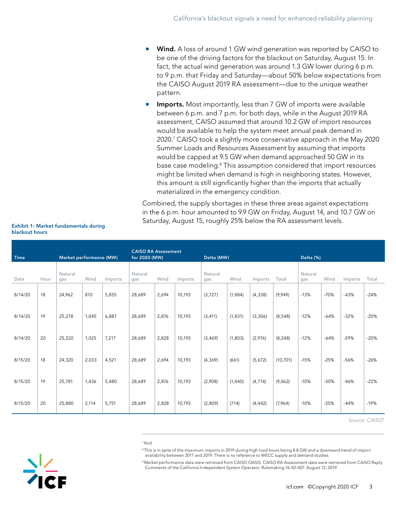- **Wind.** A loss of around 1 GW wind generation was reported by CAISO to be one of the driving factors for the blackout on Saturday, August 15. In fact, the actual wind generation was around 1.3 GW lower during 6 p.m. to 9 p.m. that Friday and Saturday—about 50% below expectations from the CAISO August 2019 RA assessment—due to the unique weather pattern.
- **Imports.** Most importantly, less than 7 GW of imports were available between 6 p.m. and 7 p.m. for both days, while in the August 2019 RA assessment, CAISO assumed that around 10.2 GW of import resources would be available to help the system meet annual peak demand in 2020.7 CAISO took a slightly more conservative approach in the May 2020 Summer Loads and Resources Assessment by assuming that imports would be capped at 9.5 GW when demand approached 50 GW in its base case modeling.<sup>8</sup> This assumption considered that import resources might be limited when demand is high in neighboring states. However, this amount is still significantly higher than the imports that actually materialized in the emergency condition.

Combined, the supply shortages in these three areas against expectations in the 6 p.m. hour amounted to 9.9 GW on Friday, August 14, and 10.7 GW on Saturday, August 15, roughly 25% below the RA assessment levels.

| <b>Time</b><br>Market performance (MW) |      |                |       | <b>CAISO RA Assessment</b><br>for 2020 (MW) |                |       | Delta (MW) |                |         |          | Delta (%) |                |        |         |        |
|----------------------------------------|------|----------------|-------|---------------------------------------------|----------------|-------|------------|----------------|---------|----------|-----------|----------------|--------|---------|--------|
| Date                                   | Hour | Natural<br>gas | Wind  | Imports                                     | Natural<br>gas | Wind  | Imports    | Natural<br>gas | Wind    | Imports  | Total     | Natural<br>gas | Wind   | Imports | Total  |
| 8/14/20                                | 18   | 24,962         | 810   | 5.855                                       | 28,689         | 2.694 | 10,193     | (3,727)        | (1,884) | (4, 338) | (9,949)   | $-13%$         | $-70%$ | $-43%$  | $-24%$ |
| 8/14/20                                | 19   | 25,278         | 1,045 | 6,887                                       | 28,689         | 2,876 | 10,193     | (3, 411)       | (1,831) | (3,306)  | (8, 548)  | $-12%$         | $-64%$ | $-32%$  | $-20%$ |
| 8/14/20                                | 20   | 25,220         | 1,025 | 7,217                                       | 28,689         | 2,828 | 10,193     | (3, 469)       | (1,803) | (2,976)  | (8, 248)  | $-12%$         | $-64%$ | $-29%$  | $-20%$ |
| 8/15/20                                | 18   | 24,320         | 2,033 | 4,521                                       | 28,689         | 2,694 | 10,193     | (4, 369)       | (661)   | (5,672)  | (10, 701) | $-15%$         | $-25%$ | $-56%$  | $-26%$ |
| 8/15/20                                | 19   | 25,781         | 1,436 | 5,480                                       | 28,689         | 2,876 | 10,193     | (2,908)        | (1,440) | (4, 714) | (9,062)   | $-10%$         | $-50%$ | $-46%$  | $-22%$ |
| 8/15/20                                | 20   | 25,880         | 2,114 | 5.751                                       | 28,689         | 2,828 | 10,193     | (2,809)        | (714)   | (4, 442) | (7,964)   | $-10%$         | $-25%$ | $-44%$  | $-19%$ |

Exhibit 1: Market fundamentals during blackout hours

*Source: CAISO9*

7 Ibid.

<sup>8</sup> This is in spite of the maximum imports in 2019 during high load hours being 8.8 GW and a downward trend of import availability between 2017 and 2019. There is no reference to WECC supply and demand studies.

9 Market performance data were retrieved from CAISO OASIS. CAISO RA Assessment data were retrieved from CAISO Reply Comments of the California Independent System Operator. Rulemaking 16-02-007. August 12, 2019.

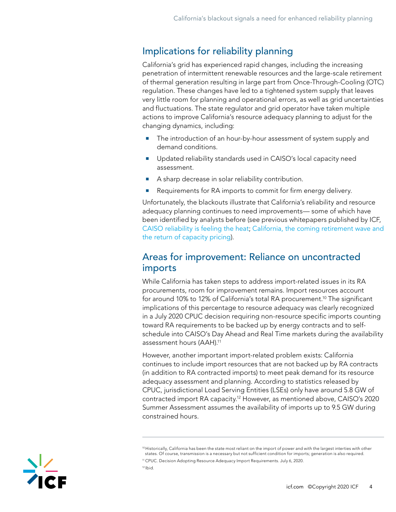## Implications for reliability planning

California's grid has experienced rapid changes, including the increasing penetration of intermittent renewable resources and the large-scale retirement of thermal generation resulting in large part from Once-Through-Cooling (OTC) regulation. These changes have led to a tightened system supply that leaves very little room for planning and operational errors, as well as grid uncertainties and fluctuations. The state regulator and grid operator have taken multiple actions to improve California's resource adequacy planning to adjust for the changing dynamics, including:

- The introduction of an hour-by-hour assessment of system supply and demand conditions.
- Updated reliability standards used in CAISO's local capacity need assessment.
- A sharp decrease in solar reliability contribution.
- Requirements for RA imports to commit for firm energy delivery.

Unfortunately, the blackouts illustrate that California's reliability and resource adequacy planning continues to need improvements— some of which have been identified by analysts before (see previous whitepapers published by ICF, [CAISO reliability is feeling the heat](https://www.icf.com/insights/energy/caiso-reliability-is-feeling-the-heat); [California, the coming retirement wave and](https://www.icf.com/insights/energy/insight-california-coming-retirement-return-of-capacity-pricing)  [the return of capacity pricing](https://www.icf.com/insights/energy/insight-california-coming-retirement-return-of-capacity-pricing)).

#### Areas for improvement: Reliance on uncontracted imports

While California has taken steps to address import-related issues in its RA procurements, room for improvement remains. Import resources account for around 10% to 12% of California's total RA procurement.<sup>10</sup> The significant implications of this percentage to resource adequacy was clearly recognized in a July 2020 CPUC decision requiring non-resource specific imports counting toward RA requirements to be backed up by energy contracts and to selfschedule into CAISO's Day Ahead and Real Time markets during the availability assessment hours (AAH).11

However, another important import-related problem exists: California continues to include import resources that are not backed up by RA contracts (in addition to RA contracted imports) to meet peak demand for its resource adequacy assessment and planning. According to statistics released by CPUC, jurisdictional Load Serving Entities (LSEs) only have around 5.8 GW of contracted import RA capacity.12 However, as mentioned above, CAISO's 2020 Summer Assessment assumes the availability of imports up to 9.5 GW during constrained hours.



<sup>10</sup> Historically, California has been the state most reliant on the import of power and with the largest interties with other states. Of course, transmission is a necessary but not sufficient condition for imports; generation is also required.

<sup>&</sup>lt;sup>11</sup> CPUC. Decision Adopting Resource Adequacy Import Requirements. July 6, 2020.

<sup>12</sup> Ibid.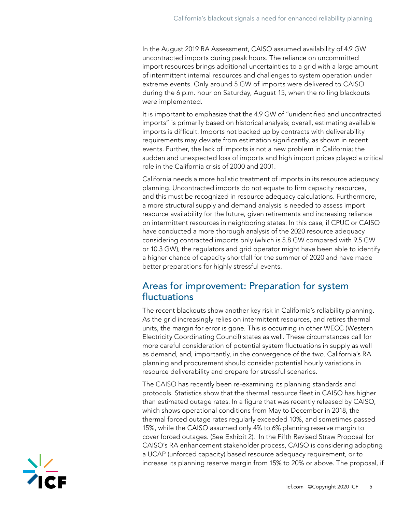In the August 2019 RA Assessment, CAISO assumed availability of 4.9 GW uncontracted imports during peak hours. The reliance on uncommitted import resources brings additional uncertainties to a grid with a large amount of intermittent internal resources and challenges to system operation under extreme events. Only around 5 GW of imports were delivered to CAISO during the 6 p.m. hour on Saturday, August 15, when the rolling blackouts were implemented.

It is important to emphasize that the 4.9 GW of "unidentified and uncontracted imports" is primarily based on historical analysis; overall, estimating available imports is difficult. Imports not backed up by contracts with deliverability requirements may deviate from estimation significantly, as shown in recent events. Further, the lack of imports is not a new problem in California; the sudden and unexpected loss of imports and high import prices played a critical role in the California crisis of 2000 and 2001.

California needs a more holistic treatment of imports in its resource adequacy planning. Uncontracted imports do not equate to firm capacity resources, and this must be recognized in resource adequacy calculations. Furthermore, a more structural supply and demand analysis is needed to assess import resource availability for the future, given retirements and increasing reliance on intermittent resources in neighboring states. In this case, if CPUC or CAISO have conducted a more thorough analysis of the 2020 resource adequacy considering contracted imports only (which is 5.8 GW compared with 9.5 GW or 10.3 GW), the regulators and grid operator might have been able to identify a higher chance of capacity shortfall for the summer of 2020 and have made better preparations for highly stressful events.

#### Areas for improvement: Preparation for system fluctuations

The recent blackouts show another key risk in California's reliability planning. As the grid increasingly relies on intermittent resources, and retires thermal units, the margin for error is gone. This is occurring in other WECC (Western Electricity Coordinating Council) states as well. These circumstances call for more careful consideration of potential system fluctuations in supply as well as demand, and, importantly, in the convergence of the two. California's RA planning and procurement should consider potential hourly variations in resource deliverability and prepare for stressful scenarios.

The CAISO has recently been re-examining its planning standards and protocols. Statistics show that the thermal resource fleet in CAISO has higher than estimated outage rates. In a figure that was recently released by CAISO, which shows operational conditions from May to December in 2018, the thermal forced outage rates regularly exceeded 10%, and sometimes passed 15%, while the CAISO assumed only 4% to 6% planning reserve margin to cover forced outages. (See Exhibit 2). In the Fifth Revised Straw Proposal for CAISO's RA enhancement stakeholder process, CAISO is considering adopting a UCAP (unforced capacity) based resource adequacy requirement, or to increase its planning reserve margin from 15% to 20% or above. The proposal, if

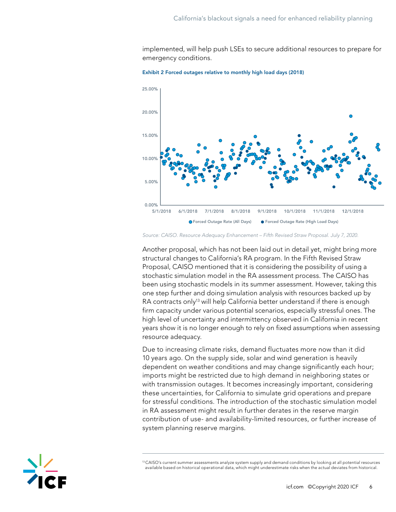implemented, will help push LSEs to secure additional resources to prepare for emergency conditions.



Exhibit 2 Forced outages relative to monthly high load days (2018)

Another proposal, which has not been laid out in detail yet, might bring more structural changes to California's RA program. In the Fifth Revised Straw Proposal, CAISO mentioned that it is considering the possibility of using a stochastic simulation model in the RA assessment process. The CAISO has been using stochastic models in its summer assessment. However, taking this one step further and doing simulation analysis with resources backed up by RA contracts only<sup>13</sup> will help California better understand if there is enough firm capacity under various potential scenarios, especially stressful ones. The high level of uncertainty and intermittency observed in California in recent years show it is no longer enough to rely on fixed assumptions when assessing resource adequacy.

Due to increasing climate risks, demand fluctuates more now than it did 10 years ago. On the supply side, solar and wind generation is heavily dependent on weather conditions and may change significantly each hour; imports might be restricted due to high demand in neighboring states or with transmission outages. It becomes increasingly important, considering these uncertainties, for California to simulate grid operations and prepare for stressful conditions. The introduction of the stochastic simulation model in RA assessment might result in further derates in the reserve margin contribution of use- and availability-limited resources, or further increase of system planning reserve margins.



*Source: CAISO. Resource Adequacy Enhancement – Fifth Revised Straw Proposal. July 7, 2020.*

<sup>&</sup>lt;sup>13</sup> CAISO's current summer assessments analyze system supply and demand conditions by looking at all potential resources available based on historical operational data, which might underestimate risks when the actual deviates from historical.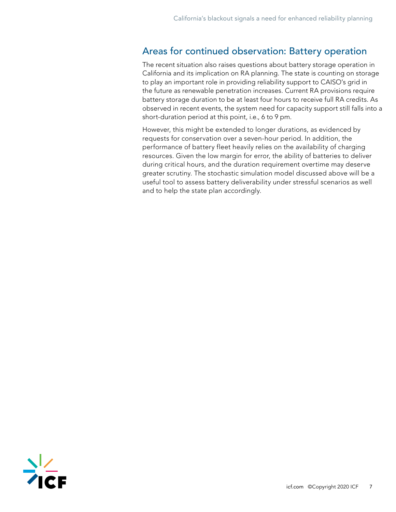#### Areas for continued observation: Battery operation

The recent situation also raises questions about battery storage operation in California and its implication on RA planning. The state is counting on storage to play an important role in providing reliability support to CAISO's grid in the future as renewable penetration increases. Current RA provisions require battery storage duration to be at least four hours to receive full RA credits. As observed in recent events, the system need for capacity support still falls into a short-duration period at this point, i.e., 6 to 9 pm.

However, this might be extended to longer durations, as evidenced by requests for conservation over a seven-hour period. In addition, the performance of battery fleet heavily relies on the availability of charging resources. Given the low margin for error, the ability of batteries to deliver during critical hours, and the duration requirement overtime may deserve greater scrutiny. The stochastic simulation model discussed above will be a useful tool to assess battery deliverability under stressful scenarios as well and to help the state plan accordingly.